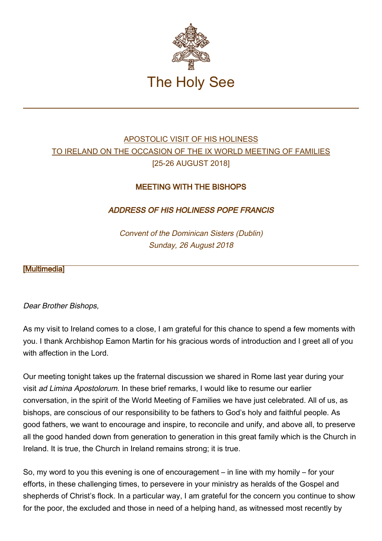

## [APOSTOLIC VISIT OF HIS HOLINESS](http://w2.vatican.va/content/francesco/en/travels/2018/outside/documents/papa-francesco-irlanda_2018.html) [TO IRELAND ON THE OCCASION OF THE IX WORLD MEETING OF FAMILIES](http://w2.vatican.va/content/francesco/en/travels/2018/outside/documents/papa-francesco-irlanda_2018.html) [25-26 AUGUST 2018]

## MEETING WITH THE BISHOPS

ADDRESS OF HIS HOLINESS POPE FRANCIS

Convent of the Dominican Sisters (Dublin) Sunday, 26 August 2018

## [\[Multimedia](http://w2.vatican.va/content/francesco/en/events/event.dir.html/content/vaticanevents/en/2018/8/26/vescovi-dublino.html)]

Dear Brother Bishops,

As my visit to Ireland comes to a close, I am grateful for this chance to spend a few moments with you. I thank Archbishop Eamon Martin for his gracious words of introduction and I greet all of you with affection in the Lord.

Our meeting tonight takes up the fraternal discussion we shared in Rome last year during your visit ad Limina Apostolorum. In these brief remarks, I would like to resume our earlier conversation, in the spirit of the World Meeting of Families we have just celebrated. All of us, as bishops, are conscious of our responsibility to be fathers to God's holy and faithful people. As good fathers, we want to encourage and inspire, to reconcile and unify, and above all, to preserve all the good handed down from generation to generation in this great family which is the Church in Ireland. It is true, the Church in Ireland remains strong; it is true.

So, my word to you this evening is one of encouragement – in line with my homily – for your efforts, in these challenging times, to persevere in your ministry as heralds of the Gospel and shepherds of Christ's flock. In a particular way, I am grateful for the concern you continue to show for the poor, the excluded and those in need of a helping hand, as witnessed most recently by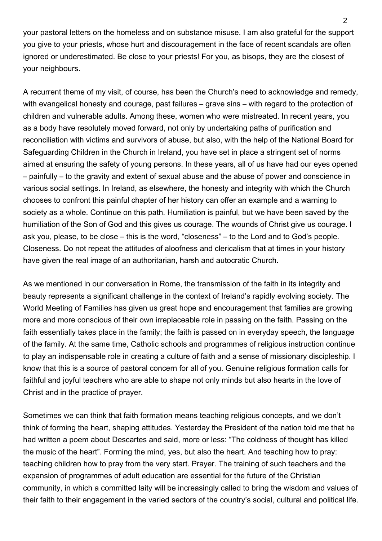your pastoral letters on the homeless and on substance misuse. I am also grateful for the support you give to your priests, whose hurt and discouragement in the face of recent scandals are often ignored or underestimated. Be close to your priests! For you, as bisops, they are the closest of your neighbours.

A recurrent theme of my visit, of course, has been the Church's need to acknowledge and remedy, with evangelical honesty and courage, past failures – grave sins – with regard to the protection of children and vulnerable adults. Among these, women who were mistreated. In recent years, you as a body have resolutely moved forward, not only by undertaking paths of purification and reconciliation with victims and survivors of abuse, but also, with the help of the National Board for Safeguarding Children in the Church in Ireland, you have set in place a stringent set of norms aimed at ensuring the safety of young persons. In these years, all of us have had our eyes opened – painfully – to the gravity and extent of sexual abuse and the abuse of power and conscience in various social settings. In Ireland, as elsewhere, the honesty and integrity with which the Church chooses to confront this painful chapter of her history can offer an example and a warning to society as a whole. Continue on this path. Humiliation is painful, but we have been saved by the humiliation of the Son of God and this gives us courage. The wounds of Christ give us courage. I ask you, please, to be close – this is the word, "closeness" – to the Lord and to God's people. Closeness. Do not repeat the attitudes of aloofness and clericalism that at times in your history have given the real image of an authoritarian, harsh and autocratic Church.

As we mentioned in our conversation in Rome, the transmission of the faith in its integrity and beauty represents a significant challenge in the context of Ireland's rapidly evolving society. The World Meeting of Families has given us great hope and encouragement that families are growing more and more conscious of their own irreplaceable role in passing on the faith. Passing on the faith essentially takes place in the family; the faith is passed on in everyday speech, the language of the family. At the same time, Catholic schools and programmes of religious instruction continue to play an indispensable role in creating a culture of faith and a sense of missionary discipleship. I know that this is a source of pastoral concern for all of you. Genuine religious formation calls for faithful and joyful teachers who are able to shape not only minds but also hearts in the love of Christ and in the practice of prayer.

Sometimes we can think that faith formation means teaching religious concepts, and we don't think of forming the heart, shaping attitudes. Yesterday the President of the nation told me that he had written a poem about Descartes and said, more or less: "The coldness of thought has killed the music of the heart". Forming the mind, yes, but also the heart. And teaching how to pray: teaching children how to pray from the very start. Prayer. The training of such teachers and the expansion of programmes of adult education are essential for the future of the Christian community, in which a committed laity will be increasingly called to bring the wisdom and values of their faith to their engagement in the varied sectors of the country's social, cultural and political life.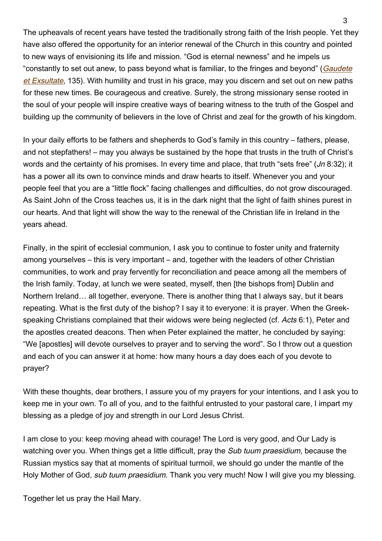The upheavals of recent years have tested the traditionally strong faith of the Irish people. Yet they have also offered the opportunity for an interior renewal of the Church in this country and pointed to new ways of envisioning its life and mission. "God is eternal newness" and he impels us "constantly to set out anew, to pass beyond what is familiar, to the fringes and beyond" ([Gaudete](http://w2.vatican.va/content/francesco/en/apost_exhortations/documents/papa-francesco_esortazione-ap_20180319_gaudete-et-exsultate.html) [et Exsultate](http://w2.vatican.va/content/francesco/en/apost_exhortations/documents/papa-francesco_esortazione-ap_20180319_gaudete-et-exsultate.html), 135). With humility and trust in his grace, may you discern and set out on new paths for these new times. Be courageous and creative. Surely, the strong missionary sense rooted in the soul of your people will inspire creative ways of bearing witness to the truth of the Gospel and building up the community of believers in the love of Christ and zeal for the growth of his kingdom.

In your daily efforts to be fathers and shepherds to God's family in this country – fathers, please, and not stepfathers! – may you always be sustained by the hope that trusts in the truth of Christ's words and the certainty of his promises. In every time and place, that truth "sets free" (Jn 8:32); it has a power all its own to convince minds and draw hearts to itself. Whenever you and your people feel that you are a "little flock" facing challenges and difficulties, do not grow discouraged. As Saint John of the Cross teaches us, it is in the dark night that the light of faith shines purest in our hearts. And that light will show the way to the renewal of the Christian life in Ireland in the years ahead.

Finally, in the spirit of ecclesial communion, I ask you to continue to foster unity and fraternity among yourselves – this is very important – and, together with the leaders of other Christian communities, to work and pray fervently for reconciliation and peace among all the members of the Irish family. Today, at lunch we were seated, myself, then [the bishops from] Dublin and Northern Ireland… all together, everyone. There is another thing that I always say, but it bears repeating. What is the first duty of the bishop? I say it to everyone: it is prayer. When the Greekspeaking Christians complained that their widows were being neglected (cf. Acts 6:1), Peter and the apostles created deacons. Then when Peter explained the matter, he concluded by saying: "We [apostles] will devote ourselves to prayer and to serving the word". So I throw out a question and each of you can answer it at home: how many hours a day does each of you devote to prayer?

With these thoughts, dear brothers, I assure you of my prayers for your intentions, and I ask you to keep me in your own. To all of you, and to the faithful entrusted to your pastoral care, I impart my blessing as a pledge of joy and strength in our Lord Jesus Christ.

I am close to you: keep moving ahead with courage! The Lord is very good, and Our Lady is watching over you. When things get a little difficult, pray the Sub tuum praesidium, because the Russian mystics say that at moments of spiritual turmoil, we should go under the mantle of the Holy Mother of God, sub tuum praesidium. Thank you very much! Now I will give you my blessing.

Together let us pray the Hail Mary.